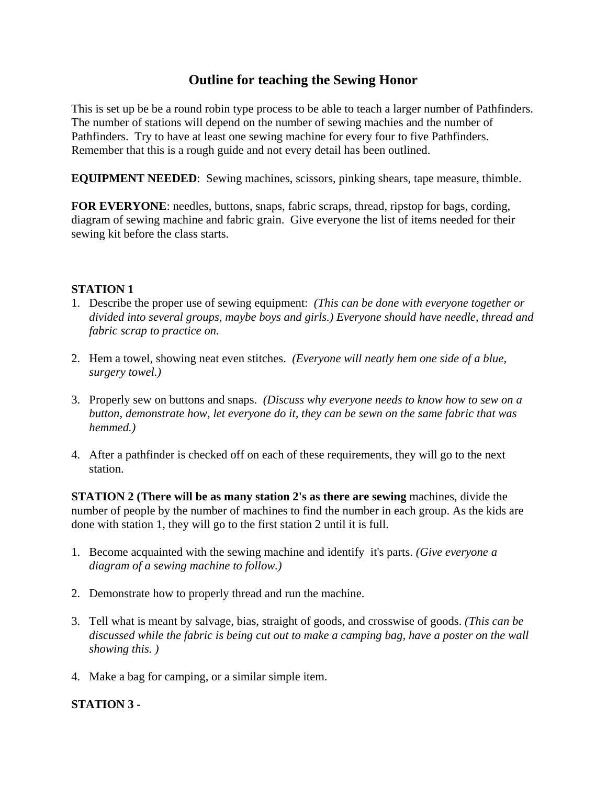# **Outline for teaching the Sewing Honor**

This is set up be be a round robin type process to be able to teach a larger number of Pathfinders. The number of stations will depend on the number of sewing machies and the number of Pathfinders. Try to have at least one sewing machine for every four to five Pathfinders. Remember that this is a rough guide and not every detail has been outlined.

**EQUIPMENT NEEDED**: Sewing machines, scissors, pinking shears, tape measure, thimble.

**FOR EVERYONE**: needles, buttons, snaps, fabric scraps, thread, ripstop for bags, cording, diagram of sewing machine and fabric grain. Give everyone the list of items needed for their sewing kit before the class starts.

### **STATION 1**

- 1. Describe the proper use of sewing equipment: *(This can be done with everyone together or divided into several groups, maybe boys and girls.) Everyone should have needle, thread and fabric scrap to practice on.*
- 2. Hem a towel, showing neat even stitches. *(Everyone will neatly hem one side of a blue, surgery towel.)*
- 3. Properly sew on buttons and snaps. *(Discuss why everyone needs to know how to sew on a button, demonstrate how, let everyone do it, they can be sewn on the same fabric that was hemmed.)*
- 4. After a pathfinder is checked off on each of these requirements, they will go to the next station.

**STATION 2 (There will be as many station 2's as there are sewing** machines, divide the number of people by the number of machines to find the number in each group. As the kids are done with station 1, they will go to the first station 2 until it is full.

- 1. Become acquainted with the sewing machine and identify it's parts. *(Give everyone a diagram of a sewing machine to follow.)*
- 2. Demonstrate how to properly thread and run the machine.
- 3. Tell what is meant by salvage, bias, straight of goods, and crosswise of goods. *(This can be discussed while the fabric is being cut out to make a camping bag, have a poster on the wall showing this. )*
- 4. Make a bag for camping, or a similar simple item.

## **STATION 3 -**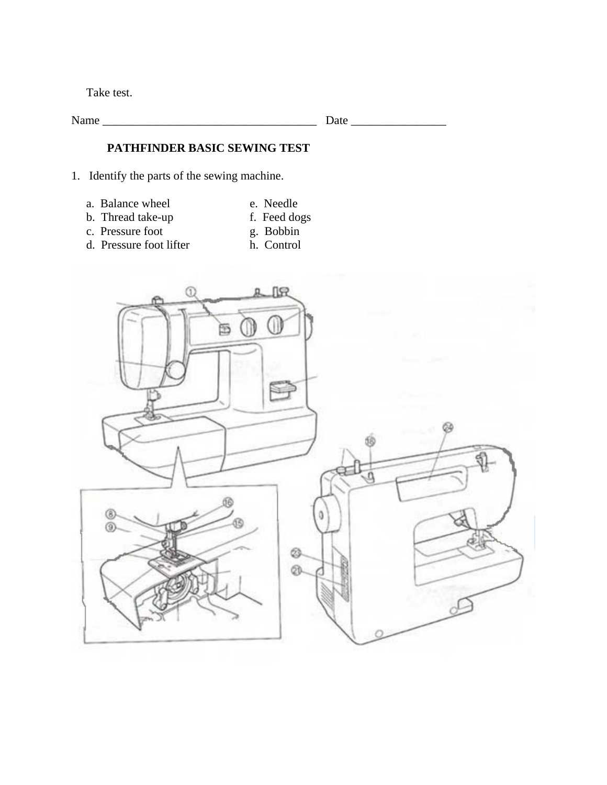Take test.

Name \_\_\_\_\_\_\_\_\_\_\_\_\_\_\_\_\_\_\_\_\_\_\_\_\_\_\_\_\_\_\_\_\_\_\_\_ Date \_\_\_\_\_\_\_\_\_\_\_\_\_\_\_\_

# **PATHFINDER BASIC SEWING TEST**

- 1. Identify the parts of the sewing machine.
	- a. Balance wheel <br>
	b. Thread take-up <br>
	f. Feed dogs
		-
	- b. Thread take-up f. Feed dog<br>c. Pressure foot g. Bobbin
		-
	- c. Pressure foot fifter g. Bobbin<br>d. Pressure foot lifter h. Control
	- d. Pressure foot lifter
- 

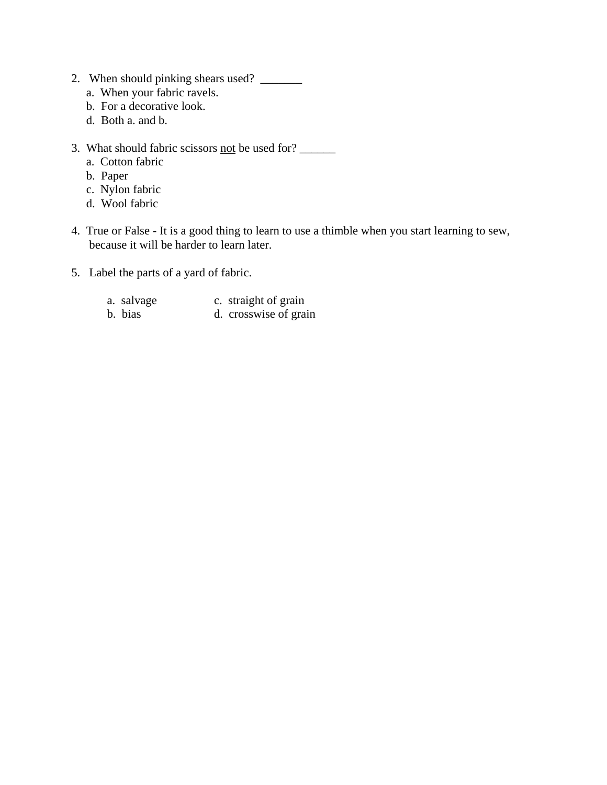- 2. When should pinking shears used? \_\_\_\_\_\_\_
	- a. When your fabric ravels.
	- b. For a decorative look.
	- d. Both a. and b.
- 3. What should fabric scissors not be used for?
	- a. Cotton fabric
	- b. Paper
	- c. Nylon fabric
	- d. Wool fabric
- 4. True or False It is a good thing to learn to use a thimble when you start learning to sew, because it will be harder to learn later.
- 5. Label the parts of a yard of fabric.
	- a. salvage c. straight of grain
	- b. bias d. crosswise of grain